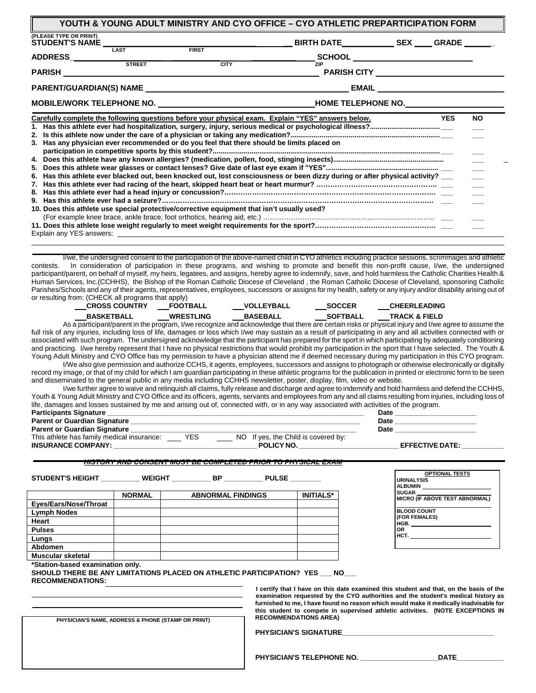| <b>STREET</b><br><b>CITY</b>                                                                                                                                                                                                                                                                                                  | ZIP | SCHOOL _________________________ |  |
|-------------------------------------------------------------------------------------------------------------------------------------------------------------------------------------------------------------------------------------------------------------------------------------------------------------------------------|-----|----------------------------------|--|
|                                                                                                                                                                                                                                                                                                                               |     |                                  |  |
|                                                                                                                                                                                                                                                                                                                               |     |                                  |  |
| 3. Has any physician ever recommended or do you feel that there should be limits placed on<br>Has this athlete ever blacked out, been knocked out, lost consciousness or been dizzy during or after physical activity? __<br>6.<br>10. Does this athlete use special protective/corrective equipment that isn't usually used? |     |                                  |  |

**YOUTH & YOUNG ADULT MINISTRY AND CYO OFFICE – CYO ATHLETIC PREPARTICIPATION FORM**

I/we, the undersigned consent to the participation of the above-named child in CYO athletics including practice sessions, scrimmages and athletic contests. In consideration of participation in these programs, and wishing to promote and benefit this non-profit cause, I/we, the undersigned participant/parent, on behalf of myself, my heirs, legatees, and assigns, hereby agree to indemnify, save, and hold harmless the Catholic Charities Health & Human Services, Inc.(CCHHS), the Bishop of the Roman Catholic Diocese of Cleveland , the Roman Catholic Diocese of Cleveland, sponsoring Catholic Parishes/Schools and any of their agents, representatives, employees, successors or assigns for my health, safety or any injury and/or disability arising out of or resulting from: (CHECK all programs that apply)

| $\frac{1}{2}$<br><b>CROSS COUNTRY</b> | <b>FOOTBALL</b>  | <b>VOLLEYBALL</b> | <b>SOCCER</b>   | <b>CHEERLEADING</b>      |
|---------------------------------------|------------------|-------------------|-----------------|--------------------------|
| <b>BASKETBALL</b>                     | <b>WRESTLING</b> | <b>BASEBALL</b>   | <b>SOFTBALL</b> | <b>TRACK &amp; FIELD</b> |

As a participant/parent in the program, I/we recognize and acknowledge that there are certain risks or physical injury and I/we agree to assume the full risk of any injuries, including loss of life, damages or loss which I/we may sustain as a result of participating in any and all activities connected with or associated with such program. The undersigned acknowledge that the participant has prepared for the sport in which participating by adequately conditioning and practicing. I/we hereby represent that I have no physical restrictions that would prohibit my participation in the sport that I have selected. The Youth & Young Adult Ministry and CYO Office has my permission to have a physician attend me if deemed necessary during my participation in this CYO program. I/We also give permission and authorize CCHS, it agents, employees, successors and assigns to photograph or otherwise electronically or digitally

record my image, or that of my child for which I am guardian participating in these athletic programs for the publication in printed or electronic form to be seen and disseminated to the general public in any media including CCHHS newsletter, poster, display, film, video or website.

I/we further agree to waive and relinquish all claims, fully release and discharge and agree to indemnify and hold harmless and defend the CCHHS, Youth & Young Adult Ministry and CYO Office and its officers, agents, servants and employees from any and all claims resulting from injuries, including loss of life, damages and losses sustained by me and arising out of, connected with, or in any way associated with activities of the program.

| <b>Participants Signature</b>              |     |    | Date                             |  |
|--------------------------------------------|-----|----|----------------------------------|--|
| <b>Parent or Guardian Signature</b>        |     |    | Date                             |  |
| <b>Parent or Guardian Signature</b>        |     |    | Date                             |  |
| This athlete has family medical insurance: | YES | NΟ | If yes, the Child is covered by: |  |

**INSURANCE COMPANY: \_\_\_\_\_\_\_\_\_\_\_\_\_\_\_\_\_\_\_\_\_\_\_\_\_\_\_\_\_\_\_\_\_\_\_\_\_ POLICY NO. \_\_\_\_\_\_\_\_\_\_\_\_\_\_\_\_\_\_\_\_\_\_\_\_\_\_ EFFECTIVE DATE: \_\_\_\_\_\_\_\_\_\_\_** 

 $T_{\text{S}}$  and Juniu is covered by:<br> $\text{POLICY NO.} \_\_$ 

#### *HISTORY AND CONSENT MUST BE COMPLETED PRIOR TO PHYSICAL EXAM*

**STUDENT'S HEIGHT \_\_\_\_\_\_\_\_\_\_ WEIGHT \_\_\_\_\_\_\_\_\_\_ BP \_\_\_\_\_\_\_\_\_\_ PULSE \_\_\_\_\_\_\_\_**

| <b>NORMAL</b> | <b>ABNORMAL FINDINGS</b> | <b>INITIALS*</b> |
|---------------|--------------------------|------------------|
|               |                          |                  |
|               |                          |                  |
|               |                          |                  |
|               |                          |                  |
|               |                          |                  |
|               |                          |                  |
|               |                          |                  |
|               |                          |                  |

| <b>OPTIONAL TESTS</b>          |
|--------------------------------|
| <b>URINALYSIS</b>              |
| <b>ALBUMIN</b>                 |
| <b>SUGAR</b>                   |
| MICRO (IF ABOVE TEST ABNORMAL) |
| <b>BLOOD COUNT</b>             |
| (FOR FEMALES)                  |
| HGB.                           |
| OR                             |
| нст.                           |
|                                |
|                                |

**\*Station-based examination only.** 

**SHOULD THERE BE ANY LIMITATIONS PLACED ON ATHLETIC PARTICIPATION? YES \_\_\_ NO\_\_\_ RECOMMENDATIONS:** 

> **I certify that I have on this date examined this student and that, on the basis of the examination requested by the CYO authorities and the student's medical history as furnished to me, I have found no reason which would make it medically inadvisable for this student to compete in supervised athletic activities. (NOTE EXCEPTIONS IN RECOMMENDATIONS AREA)**

| PHYSICIAN'S NAME, ADDRESS & PHONE (STAMP OR PRINT) |  |
|----------------------------------------------------|--|
|                                                    |  |

**PHYSICIAN'S SIGNATURE\_\_\_\_\_\_\_\_\_\_\_\_\_\_\_\_\_\_\_\_\_\_\_\_\_\_\_\_\_\_\_\_\_\_\_\_\_\_\_** 

**PHYSICIAN'S TELEPHONE NO. \_\_\_\_\_\_\_\_\_\_\_\_\_\_\_\_\_\_\_\_DATE\_\_\_\_\_\_\_\_\_\_\_\_**